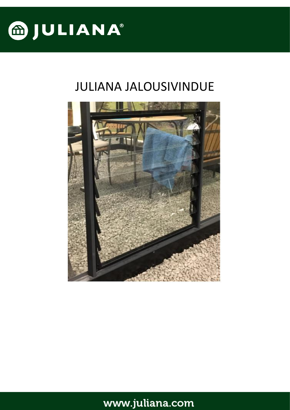

# JULIANA JALOUSIVINDUE

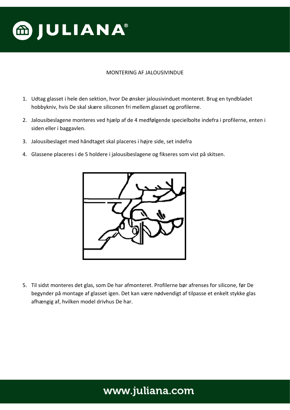

#### MONTERING AF JALOUSIVINDUE

- 1. Udtag glasset i hele den sektion, hvor De ønsker jalousivinduet monteret. Brug en tyndbladet hobbykniv, hvis De skal skære siliconen fri mellem glasset og profilerne.
- 2. Jalousibeslagene monteres ved hjælp af de 4 medfølgende specielbolte indefra i profilerne, enten i siden eller i baggavlen.
- 3. Jalousibeslaget med håndtaget skal placeres i højre side, set indefra
- 4. Glassene placeres i de 5 holdere i jalousibeslagene og fikseres som vist på skitsen.



5. Til sidst monteres det glas, som De har afmonteret. Profilerne bør afrenses for silicone, før De begynder på montage af glasset igen. Det kan være nødvendigt af tilpasse et enkelt stykke glas afhængig af, hvilken model drivhus De har.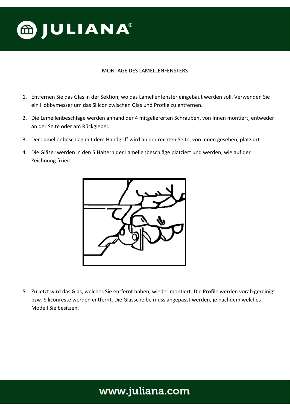

#### MONTAGE DES LAMELLENFENSTERS

- 1. Entfernen Sie das Glas in der Sektion, wo das Lamellenfenster eingebaut werden soll. Verwenden Sie ein Hobbymesser um das Silicon zwischen Glas und Profile zu entfernen.
- 2. Die Lamellenbeschläge werden anhand der 4 mitgelieferten Schrauben, von Innen montiert, entweder an der Seite oder am Rückgiebel.
- 3. Der Lamellenbeschlag mit dem Handgriff wird an der rechten Seite, von Innen gesehen, platziert.
- 4. Die Gläser werden in den 5 Haltern der Lamellenbeschläge platziert und werden, wie auf der Zeichnung fixiert.



5. Zu letzt wird das Glas, welches Sie entfernt haben, wieder montiert. Die Profile werden vorab gereinigt bzw. Siliconreste werden entfernt. Die Glasscheibe muss angepasst werden, je nachdem welches Modell Sie besitzen.